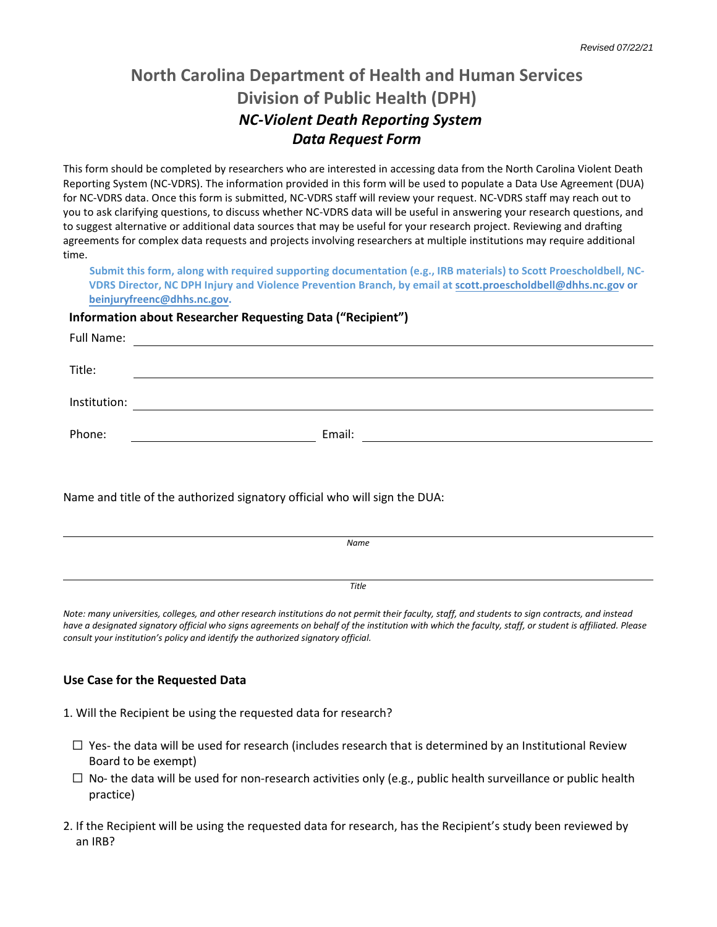# **North Carolina Department of Health and Human Services Division of Public Health (DPH)** *NC-Violent Death Reporting System Data Request Form*

This form should be completed by researchers who are interested in accessing data from the North Carolina Violent Death Reporting System (NC-VDRS). The information provided in this form will be used to populate a Data Use Agreement (DUA) for NC-VDRS data. Once this form is submitted, NC-VDRS staff will review your request. NC-VDRS staff may reach out to you to ask clarifying questions, to discuss whether NC-VDRS data will be useful in answering your research questions, and to suggest alternative or additional data sources that may be useful for your research project. Reviewing and drafting agreements for complex data requests and projects involving researchers at multiple institutions may require additional time.

**Submit this form, along with required supporting documentation (e.g., IRB materials) to Scott Proescholdbe[ll,](mailto:scott.proescholdbell@dhhs.nc.gov) NC-VDRS Director, NC DPH Injury and Violence Prevention Branch, by email at [scott.proescholdbell@dhhs.nc.go](mailto:scott.proescholdbell@dhhs.nc.gov)v or beinjuryfreenc@dhhs.nc.gov.**

### **Information about Researcher Requesting Data ("Recipient")**

| Full Name:   | <u> 1980 - Jan Stein Stein Stein Stein Stein Stein Stein Stein Stein Stein Stein Stein Stein Stein Stein Stein S</u> |
|--------------|----------------------------------------------------------------------------------------------------------------------|
| Title:       |                                                                                                                      |
| Institution: |                                                                                                                      |
| Phone:       | Email:                                                                                                               |
|              |                                                                                                                      |

Name and title of the authorized signatory official who will sign the DUA:

| Name  |  |
|-------|--|
|       |  |
|       |  |
|       |  |
| Title |  |
|       |  |

*Note: many universities, colleges, and other research institutions do not permit their faculty, staff, and students to sign contracts, and instead have a designated signatory official who signs agreements on behalf of the institution with which the faculty, staff, or student is affiliated. Please consult your institution's policy and identify the authorized signatory official.*

### **Use Case for the Requested Data**

1. Will the Recipient be using the requested data for research?

- $\Box$  Yes- the data will be used for research (includes research that is determined by an Institutional Review Board to be exempt)
- $\Box$  No- the data will be used for non-research activities only (e.g., public health surveillance or public health practice)
- 2. If the Recipient will be using the requested data for research, has the Recipient's study been reviewed by an IRB?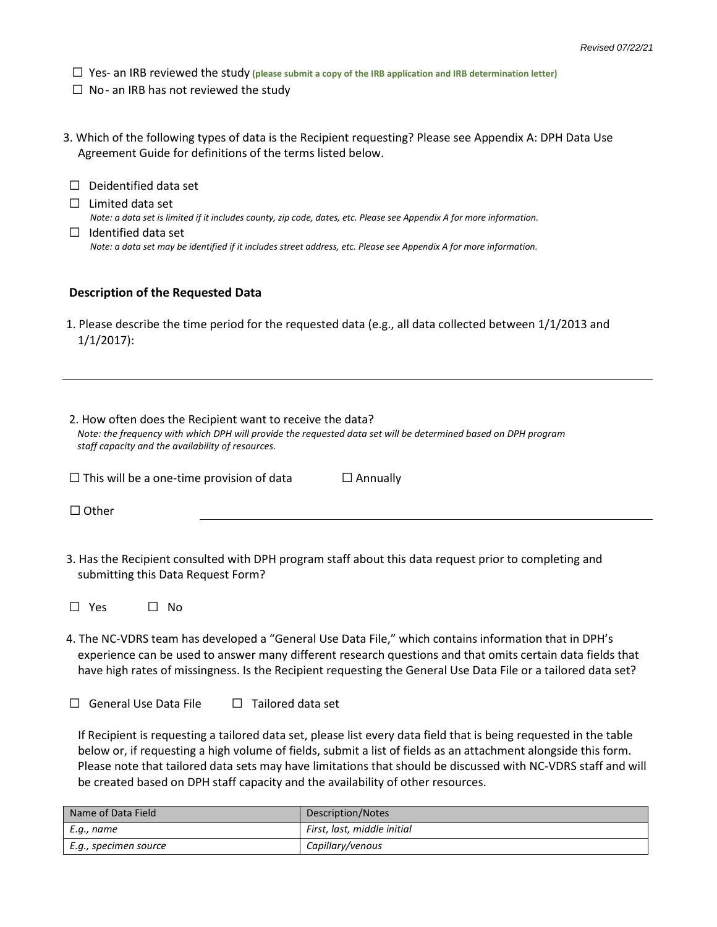- ☐ Yes- an IRB reviewed the study **(please submit a copy of the IRB application and IRB determination letter)**
- $\Box$  No- an IRB has not reviewed the study
- 3. Which of the following types of data is the Recipient requesting? Please see Appendix A: DPH Data Use Agreement Guide for definitions of the terms listed below.
- ☐ Deidentified data set  $\Box$  Limited data set *Note: a data set is limited if it includes county, zip code, dates, etc. Please see Appendix A for more information.*
- $\Box$  Identified data set  *Note: a data set may be identified if it includes street address, etc. Please see Appendix A for more information.*

#### **Description of the Requested Data**

1. Please describe the time period for the requested data (e.g., all data collected between 1/1/2013 and 1/1/2017):

| 2. How often does the Recipient want to receive the data?<br>Note: the frequency with which DPH will provide the requested data set will be determined based on DPH program<br>staff capacity and the availability of resources. |                 |  |  |  |  |  |  |
|----------------------------------------------------------------------------------------------------------------------------------------------------------------------------------------------------------------------------------|-----------------|--|--|--|--|--|--|
| $\Box$ This will be a one-time provision of data                                                                                                                                                                                 | $\Box$ Annually |  |  |  |  |  |  |
| $\Box$ Other                                                                                                                                                                                                                     |                 |  |  |  |  |  |  |
|                                                                                                                                                                                                                                  |                 |  |  |  |  |  |  |

- 3. Has the Recipient consulted with DPH program staff about this data request prior to completing and submitting this Data Request Form?
- ☐ Yes ☐ No
- 4. The NC-VDRS team has developed a "General Use Data File," which contains information that in DPH's experience can be used to answer many different research questions and that omits certain data fields that have high rates of missingness. Is the Recipient requesting the General Use Data File or a tailored data set?
- ☐ General Use Data File ☐ Tailored data set

 If Recipient is requesting a tailored data set, please list every data field that is being requested in the table below or, if requesting a high volume of fields, submit a list of fields as an attachment alongside this form. Please note that tailored data sets may have limitations that should be discussed with NC-VDRS staff and will be created based on DPH staff capacity and the availability of other resources.

| Name of Data Field    | Description/Notes           |
|-----------------------|-----------------------------|
| E.g., name            | First, last, middle initial |
| E.g., specimen source | Capillary/venous            |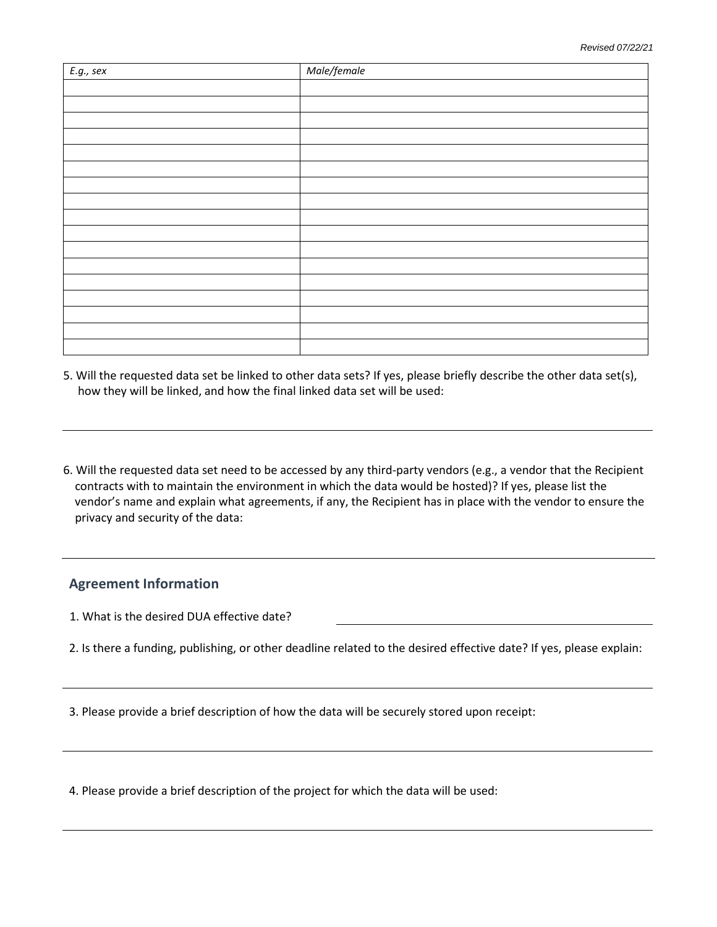| $E.g.,\, sex$ | Male/female |
|---------------|-------------|
|               |             |
|               |             |
|               |             |
|               |             |
|               |             |
|               |             |
|               |             |
|               |             |
|               |             |
|               |             |
|               |             |
|               |             |
|               |             |
|               |             |
|               |             |
|               |             |
|               |             |

- 5. Will the requested data set be linked to other data sets? If yes, please briefly describe the other data set(s), how they will be linked, and how the final linked data set will be used:
- 6. Will the requested data set need to be accessed by any third-party vendors (e.g., a vendor that the Recipient contracts with to maintain the environment in which the data would be hosted)? If yes, please list the vendor's name and explain what agreements, if any, the Recipient has in place with the vendor to ensure the privacy and security of the data:

### **Agreement Information**

1. What is the desired DUA effective date?

2. Is there a funding, publishing, or other deadline related to the desired effective date? If yes, please explain:

3. Please provide a brief description of how the data will be securely stored upon receipt:

4. Please provide a brief description of the project for which the data will be used: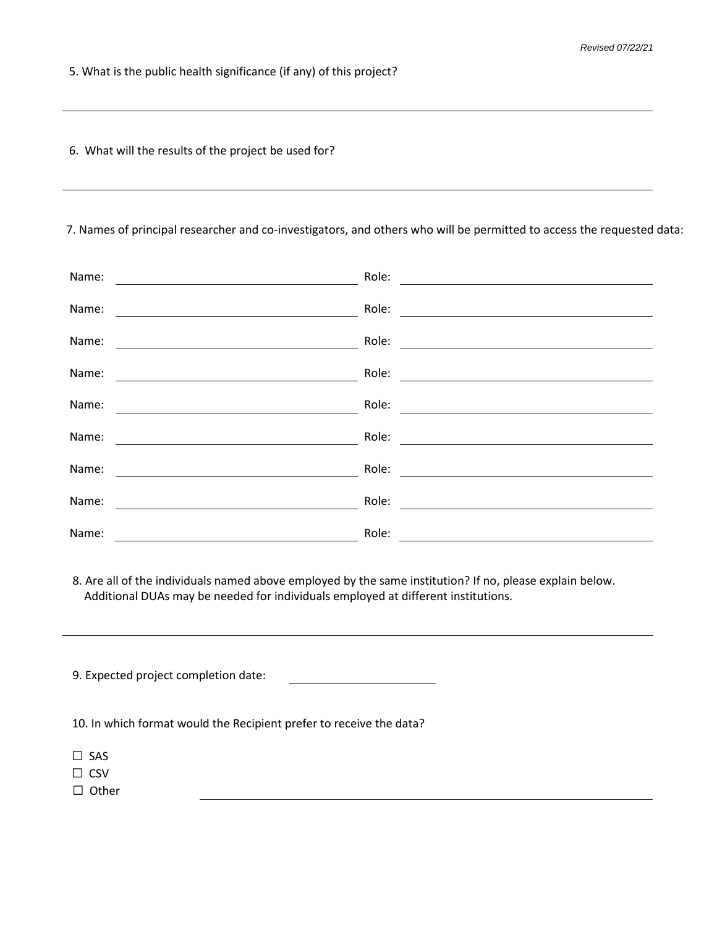5. What is the public health significance (if any) of this project?

6. What will the results of the project be used for?

### 7. Names of principal researcher and co-investigators, and others who will be permitted to access the requested data:

| Name: | Role: |
|-------|-------|
| Name: | Role: |
| Name: | Role: |
| Name: | Role: |
| Name: | Role: |
| Name: | Role: |
| Name: | Role: |
| Name: | Role: |
| Name: | Role: |

8. Are all of the individuals named above employed by the same institution? If no, please explain below. Additional DUAs may be needed for individuals employed at different institutions.

| 9. Expected project completion date:                                |  |
|---------------------------------------------------------------------|--|
| 10. In which format would the Recipient prefer to receive the data? |  |
| $\square$ SAS                                                       |  |
| $\Box$ CSV                                                          |  |
| $\Box$ Other                                                        |  |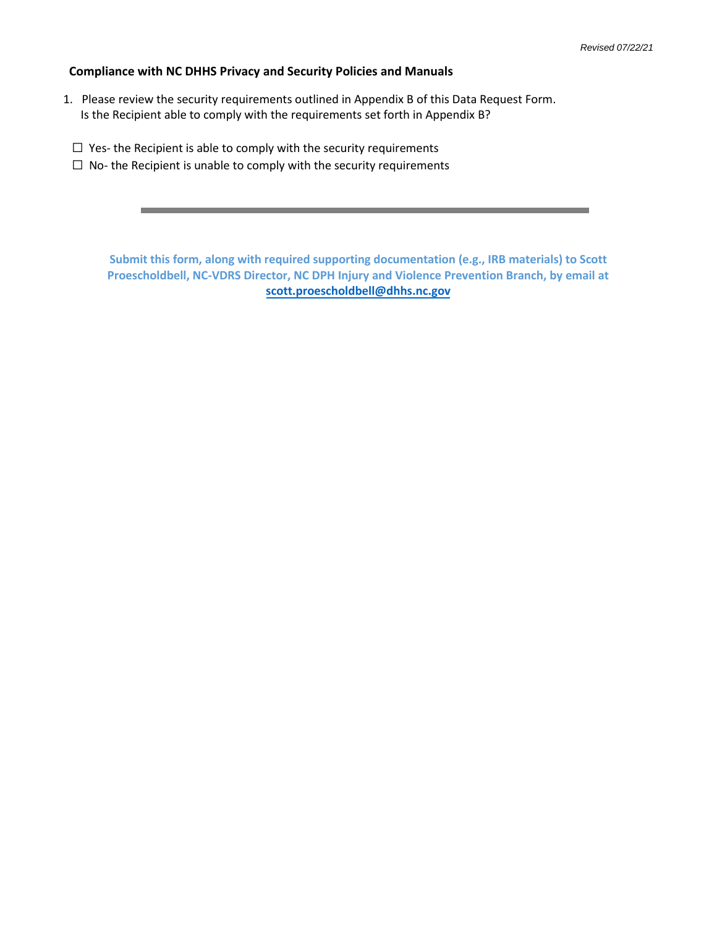#### **Compliance with NC DHHS Privacy and Security Policies and Manuals**

- 1. Please review the security requirements outlined in Appendix B of this Data Request Form. Is the Recipient able to comply with the requirements set forth in Appendix B?
	- $\Box$  Yes- the Recipient is able to comply with the security requirements
	- $\Box$  No- the Recipient is unable to comply with the security requirements

**Submit this form, along with required supporting documentation (e.g., IRB materials) to Scott Proescholdbell, NC-VDRS Director, NC DPH Injury and Violence Prevention Branch, by email at [scott.proescholdbell@dhhs.nc.gov](mailto:scott.proescholdbell@dhhs.nc.gov)**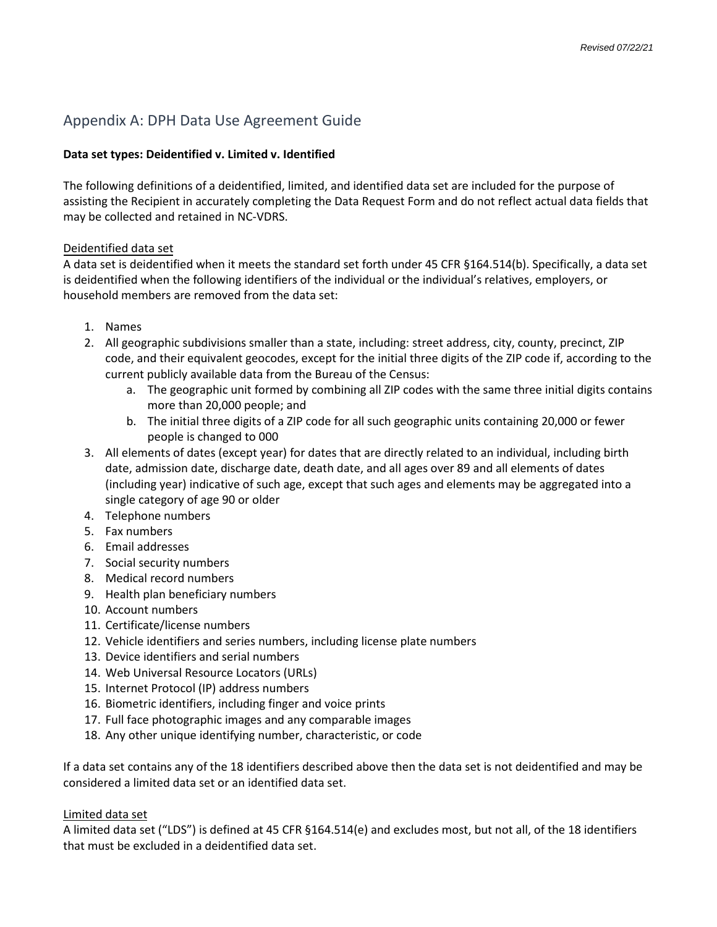## Appendix A: DPH Data Use Agreement Guide

### **Data set types: Deidentified v. Limited v. Identified**

The following definitions of a deidentified, limited, and identified data set are included for the purpose of assisting the Recipient in accurately completing the Data Request Form and do not reflect actual data fields that may be collected and retained in NC-VDRS.

### Deidentified data set

A data set is deidentified when it meets the standard set forth under 45 CFR §164.514(b). Specifically, a data set is deidentified when the following identifiers of the individual or the individual's relatives, employers, or household members are removed from the data set:

- 1. Names
- 2. All geographic subdivisions smaller than a state, including: street address, city, county, precinct, ZIP code, and their equivalent geocodes, except for the initial three digits of the ZIP code if, according to the current publicly available data from the Bureau of the Census:
	- a. The geographic unit formed by combining all ZIP codes with the same three initial digits contains more than 20,000 people; and
	- b. The initial three digits of a ZIP code for all such geographic units containing 20,000 or fewer people is changed to 000
- 3. All elements of dates (except year) for dates that are directly related to an individual, including birth date, admission date, discharge date, death date, and all ages over 89 and all elements of dates (including year) indicative of such age, except that such ages and elements may be aggregated into a single category of age 90 or older
- 4. Telephone numbers
- 5. Fax numbers
- 6. Email addresses
- 7. Social security numbers
- 8. Medical record numbers
- 9. Health plan beneficiary numbers
- 10. Account numbers
- 11. Certificate/license numbers
- 12. Vehicle identifiers and series numbers, including license plate numbers
- 13. Device identifiers and serial numbers
- 14. Web Universal Resource Locators (URLs)
- 15. Internet Protocol (IP) address numbers
- 16. Biometric identifiers, including finger and voice prints
- 17. Full face photographic images and any comparable images
- 18. Any other unique identifying number, characteristic, or code

If a data set contains any of the 18 identifiers described above then the data set is not deidentified and may be considered a limited data set or an identified data set.

### Limited data set

A limited data set ("LDS") is defined at 45 CFR §164.514(e) and excludes most, but not all, of the 18 identifiers that must be excluded in a deidentified data set.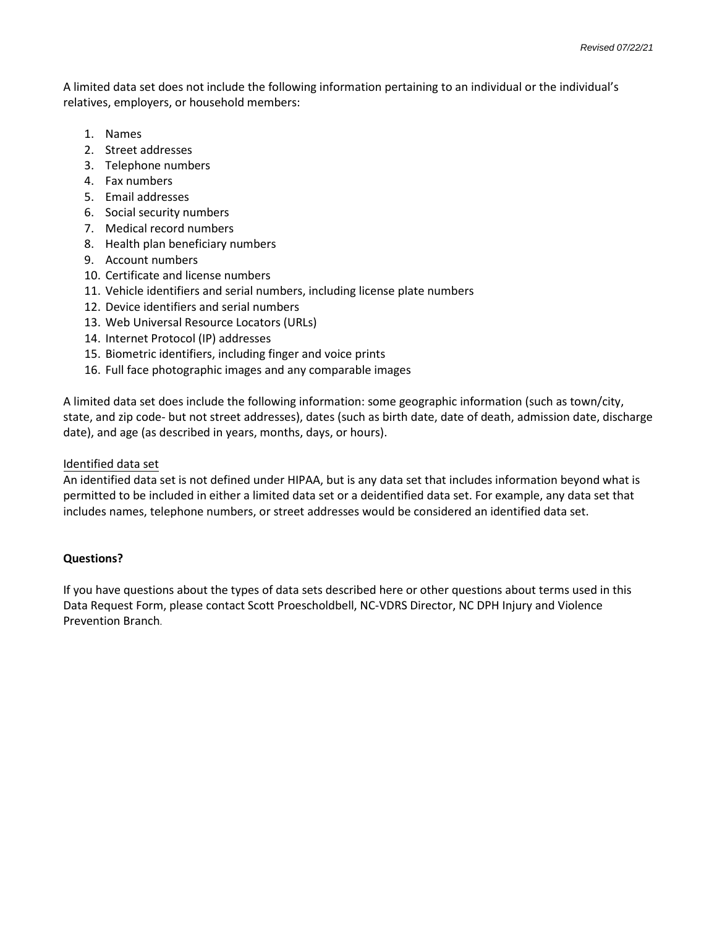A limited data set does not include the following information pertaining to an individual or the individual's relatives, employers, or household members:

- 1. Names
- 2. Street addresses
- 3. Telephone numbers
- 4. Fax numbers
- 5. Email addresses
- 6. Social security numbers
- 7. Medical record numbers
- 8. Health plan beneficiary numbers
- 9. Account numbers
- 10. Certificate and license numbers
- 11. Vehicle identifiers and serial numbers, including license plate numbers
- 12. Device identifiers and serial numbers
- 13. Web Universal Resource Locators (URLs)
- 14. Internet Protocol (IP) addresses
- 15. Biometric identifiers, including finger and voice prints
- 16. Full face photographic images and any comparable images

A limited data set does include the following information: some geographic information (such as town/city, state, and zip code- but not street addresses), dates (such as birth date, date of death, admission date, discharge date), and age (as described in years, months, days, or hours).

#### Identified data set

An identified data set is not defined under HIPAA, but is any data set that includes information beyond what is permitted to be included in either a limited data set or a deidentified data set. For example, any data set that includes names, telephone numbers, or street addresses would be considered an identified data set.

### **Questions?**

If you have questions about the types of data sets described here or other questions about terms used in this Data Request Form, please contact Scott Proescholdbell, NC-VDRS Director, NC DPH Injury and Violence Prevention Branch.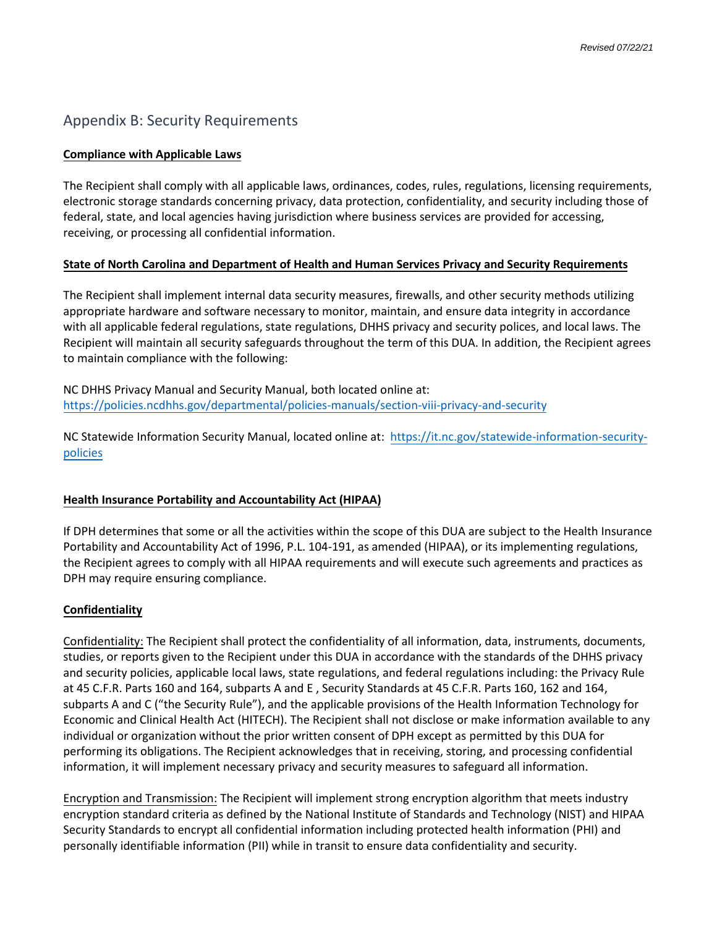### Appendix B: Security Requirements

#### **Compliance with Applicable Laws**

The Recipient shall comply with all applicable laws, ordinances, codes, rules, regulations, licensing requirements, electronic storage standards concerning privacy, data protection, confidentiality, and security including those of federal, state, and local agencies having jurisdiction where business services are provided for accessing, receiving, or processing all confidential information.

### **State of North Carolina and Department of Health and Human Services Privacy and Security Requirements**

The Recipient shall implement internal data security measures, firewalls, and other security methods utilizing appropriate hardware and software necessary to monitor, maintain, and ensure data integrity in accordance with all applicable federal regulations, state regulations, DHHS privacy and security polices, and local laws. The Recipient will maintain all security safeguards throughout the term of this DUA. In addition, the Recipient agrees to maintain compliance with the following:

NC DHHS Privacy Manual and Security Manual, both located online at: <https://policies.ncdhhs.gov/departmental/policies-manuals/section-viii-privacy-and-security>

NC Statewide Information Security Manual, located online at: [https://it.nc.gov/statewide-information-security](https://it.nc.gov/statewide-information-security-policies)[policies](https://it.nc.gov/statewide-information-security-policies)

#### **Health Insurance Portability and Accountability Act (HIPAA)**

If DPH determines that some or all the activities within the scope of this DUA are subject to the Health Insurance Portability and Accountability Act of 1996, P.L. 104-191, as amended (HIPAA), or its implementing regulations, the Recipient agrees to comply with all HIPAA requirements and will execute such agreements and practices as DPH may require ensuring compliance.

#### **Confidentiality**

Confidentiality: The Recipient shall protect the confidentiality of all information, data, instruments, documents, studies, or reports given to the Recipient under this DUA in accordance with the standards of the DHHS privacy and security policies, applicable local laws, state regulations, and federal regulations including: the Privacy Rule at 45 C.F.R. Parts 160 and 164, subparts A and E , Security Standards at 45 C.F.R. Parts 160, 162 and 164, subparts A and C ("the Security Rule"), and the applicable provisions of the Health Information Technology for Economic and Clinical Health Act (HITECH). The Recipient shall not disclose or make information available to any individual or organization without the prior written consent of DPH except as permitted by this DUA for performing its obligations. The Recipient acknowledges that in receiving, storing, and processing confidential information, it will implement necessary privacy and security measures to safeguard all information.

Encryption and Transmission: The Recipient will implement strong encryption algorithm that meets industry encryption standard criteria as defined by the National Institute of Standards and Technology (NIST) and HIPAA Security Standards to encrypt all confidential information including protected health information (PHI) and personally identifiable information (PII) while in transit to ensure data confidentiality and security.